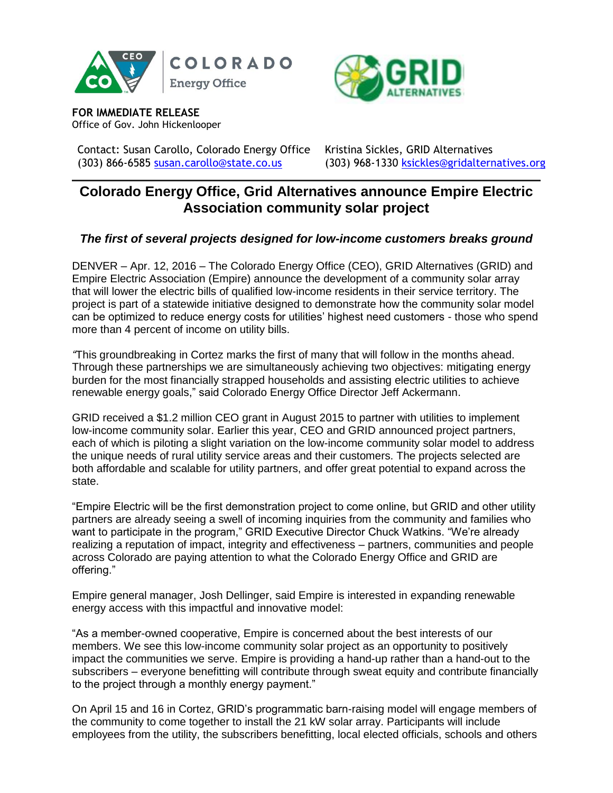





**FOR IMMEDIATE RELEASE** Office of Gov. John Hickenlooper

Contact: Susan Carollo, Colorado Energy Office Kristina Sickles, GRID Alternatives (303) 866-6585 [susan.carollo@state.co.us](file:///C:/Users/carollos/Downloads/susan.carollo@state.co.us) (303) 968-1330 [ksickles@gridalternatives.org](mailto:ksickles@gridalternatives.org)

# **Colorado Energy Office, Grid Alternatives announce Empire Electric Association community solar project**

## *The first of several projects designed for low-income customers breaks ground*

DENVER – Apr. 12, 2016 – The Colorado Energy Office (CEO), GRID Alternatives (GRID) and Empire Electric Association (Empire) announce the development of a community solar array that will lower the electric bills of qualified low-income residents in their service territory. The project is part of a statewide initiative designed to demonstrate how the community solar model can be optimized to reduce energy costs for utilities' highest need customers - those who spend more than 4 percent of income on utility bills.

*"*This groundbreaking in Cortez marks the first of many that will follow in the months ahead. Through these partnerships we are simultaneously achieving two objectives: mitigating energy burden for the most financially strapped households and assisting electric utilities to achieve renewable energy goals," said Colorado Energy Office Director Jeff Ackermann.

GRID received a \$1.2 million CEO grant in August 2015 to partner with utilities to implement low-income community solar. Earlier this year, CEO and GRID announced project partners, each of which is piloting a slight variation on the low-income community solar model to address the unique needs of rural utility service areas and their customers. The projects selected are both affordable and scalable for utility partners, and offer great potential to expand across the state.

"Empire Electric will be the first demonstration project to come online, but GRID and other utility partners are already seeing a swell of incoming inquiries from the community and families who want to participate in the program," GRID Executive Director Chuck Watkins. "We're already realizing a reputation of impact, integrity and effectiveness – partners, communities and people across Colorado are paying attention to what the Colorado Energy Office and GRID are offering."

Empire general manager, Josh Dellinger, said Empire is interested in expanding renewable energy access with this impactful and innovative model:

"As a member-owned cooperative, Empire is concerned about the best interests of our members. We see this low-income community solar project as an opportunity to positively impact the communities we serve. Empire is providing a hand-up rather than a hand-out to the subscribers – everyone benefitting will contribute through sweat equity and contribute financially to the project through a monthly energy payment."

On April 15 and 16 in Cortez, GRID's programmatic barn-raising model will engage members of the community to come together to install the 21 kW solar array. Participants will include employees from the utility, the subscribers benefitting, local elected officials, schools and others